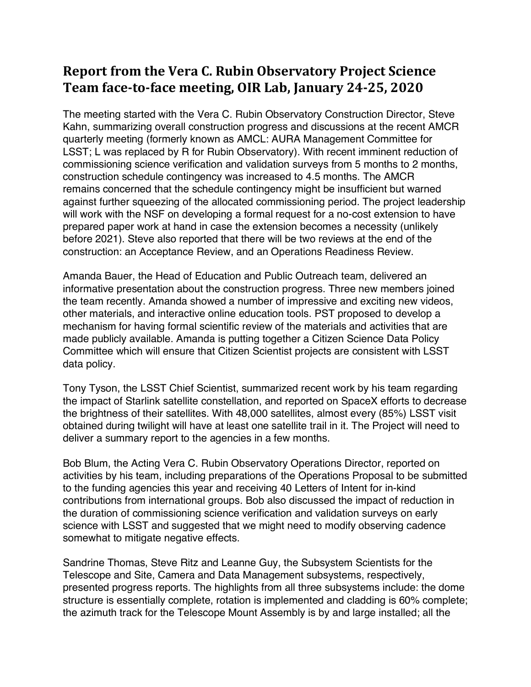## **Report from the Vera C. Rubin Observatory Project Science Team face-to-face meeting, OIR Lab, January 24-25, 2020**

The meeting started with the Vera C. Rubin Observatory Construction Director, Steve Kahn, summarizing overall construction progress and discussions at the recent AMCR quarterly meeting (formerly known as AMCL: AURA Management Committee for LSST; L was replaced by R for Rubin Observatory). With recent imminent reduction of commissioning science verification and validation surveys from 5 months to 2 months, construction schedule contingency was increased to 4.5 months. The AMCR remains concerned that the schedule contingency might be insufficient but warned against further squeezing of the allocated commissioning period. The project leadership will work with the NSF on developing a formal request for a no-cost extension to have prepared paper work at hand in case the extension becomes a necessity (unlikely before 2021). Steve also reported that there will be two reviews at the end of the construction: an Acceptance Review, and an Operations Readiness Review.

Amanda Bauer, the Head of Education and Public Outreach team, delivered an informative presentation about the construction progress. Three new members joined the team recently. Amanda showed a number of impressive and exciting new videos, other materials, and interactive online education tools. PST proposed to develop a mechanism for having formal scientific review of the materials and activities that are made publicly available. Amanda is putting together a Citizen Science Data Policy Committee which will ensure that Citizen Scientist projects are consistent with LSST data policy.

Tony Tyson, the LSST Chief Scientist, summarized recent work by his team regarding the impact of Starlink satellite constellation, and reported on SpaceX efforts to decrease the brightness of their satellites. With 48,000 satellites, almost every (85%) LSST visit obtained during twilight will have at least one satellite trail in it. The Project will need to deliver a summary report to the agencies in a few months.

Bob Blum, the Acting Vera C. Rubin Observatory Operations Director, reported on activities by his team, including preparations of the Operations Proposal to be submitted to the funding agencies this year and receiving 40 Letters of Intent for in-kind contributions from international groups. Bob also discussed the impact of reduction in the duration of commissioning science verification and validation surveys on early science with LSST and suggested that we might need to modify observing cadence somewhat to mitigate negative effects.

Sandrine Thomas, Steve Ritz and Leanne Guy, the Subsystem Scientists for the Telescope and Site, Camera and Data Management subsystems, respectively, presented progress reports. The highlights from all three subsystems include: the dome structure is essentially complete, rotation is implemented and cladding is 60% complete; the azimuth track for the Telescope Mount Assembly is by and large installed; all the